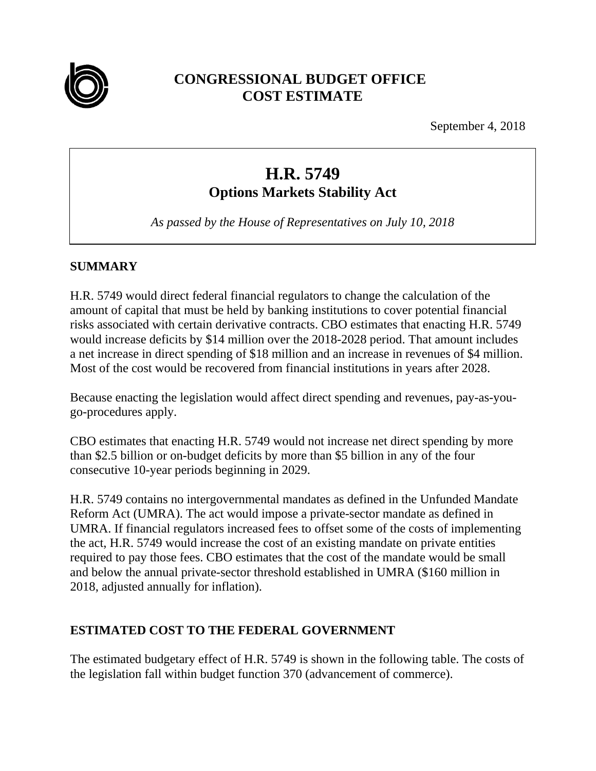

# **CONGRESSIONAL BUDGET OFFICE COST ESTIMATE**

September 4, 2018

# **H.R. 5749 Options Markets Stability Act**

*As passed by the House of Representatives on July 10, 2018*

### **SUMMARY**

H.R. 5749 would direct federal financial regulators to change the calculation of the amount of capital that must be held by banking institutions to cover potential financial risks associated with certain derivative contracts. CBO estimates that enacting H.R. 5749 would increase deficits by \$14 million over the 2018-2028 period. That amount includes a net increase in direct spending of \$18 million and an increase in revenues of \$4 million. Most of the cost would be recovered from financial institutions in years after 2028.

Because enacting the legislation would affect direct spending and revenues, pay-as-yougo-procedures apply.

CBO estimates that enacting H.R. 5749 would not increase net direct spending by more than \$2.5 billion or on-budget deficits by more than \$5 billion in any of the four consecutive 10-year periods beginning in 2029.

H.R. 5749 contains no intergovernmental mandates as defined in the Unfunded Mandate Reform Act (UMRA). The act would impose a private-sector mandate as defined in UMRA. If financial regulators increased fees to offset some of the costs of implementing the act, H.R. 5749 would increase the cost of an existing mandate on private entities required to pay those fees. CBO estimates that the cost of the mandate would be small and below the annual private-sector threshold established in UMRA (\$160 million in 2018, adjusted annually for inflation).

#### **ESTIMATED COST TO THE FEDERAL GOVERNMENT**

The estimated budgetary effect of H.R. 5749 is shown in the following table. The costs of the legislation fall within budget function 370 (advancement of commerce).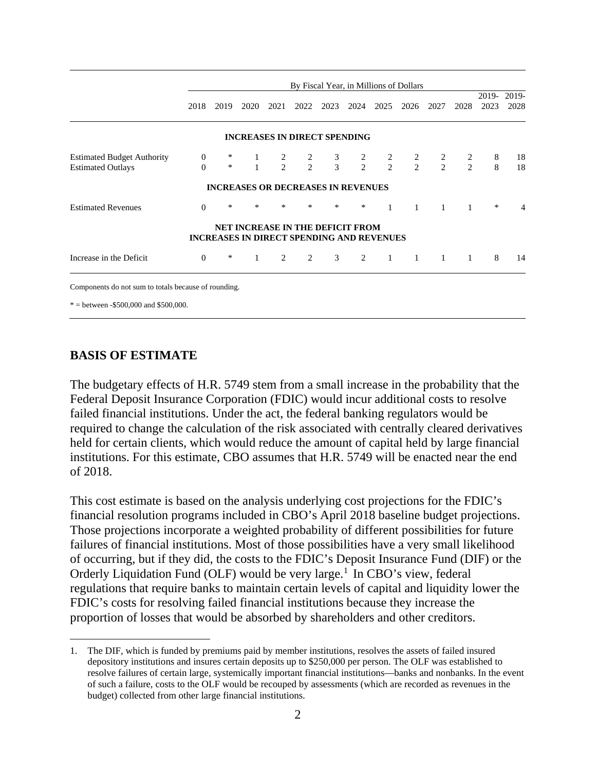|                                                               | By Fiscal Year, in Millions of Dollars |                  |              |               |               |        |                                                                                             |                |                |               |               |               |               |
|---------------------------------------------------------------|----------------------------------------|------------------|--------------|---------------|---------------|--------|---------------------------------------------------------------------------------------------|----------------|----------------|---------------|---------------|---------------|---------------|
|                                                               | 2018                                   | 2019             | 2020         | 2021          | 2022          | 2023   | 2024                                                                                        | 2025           | 2026           | 2027          | 2028          | 2019-<br>2023 | 2019-<br>2028 |
|                                                               |                                        |                  |              |               |               |        | <b>INCREASES IN DIRECT SPENDING</b>                                                         |                |                |               |               |               |               |
| <b>Estimated Budget Authority</b><br><b>Estimated Outlays</b> | 0<br>$\Omega$                          | $\ast$<br>$\ast$ |              | $\frac{2}{2}$ | $\frac{2}{2}$ |        | $\begin{array}{cccc} 3 & 2 & 2 & 2 \\ 3 & 2 & 2 & 2 \end{array}$                            |                |                | $\frac{2}{2}$ | $\frac{2}{2}$ | 8<br>8        | 18<br>18      |
|                                                               |                                        |                  |              |               |               |        | <b>INCREASES OR DECREASES IN REVENUES</b>                                                   |                |                |               |               |               |               |
| <b>Estimated Revenues</b>                                     | $\Omega$                               | $\ast$           | *            | $\ast$        | $\ast$        | $\ast$ | $\ast$                                                                                      | $\mathbf{1}$   | $\overline{1}$ | $\mathbf{1}$  | $\mathbf{1}$  | $*$           |               |
|                                                               |                                        |                  |              |               |               |        | <b>NET INCREASE IN THE DEFICIT FROM</b><br><b>INCREASES IN DIRECT SPENDING AND REVENUES</b> |                |                |               |               |               |               |
| Increase in the Deficit                                       | $\Omega$                               | $\ast$           | $\mathbf{1}$ | 2             | 2             |        | $3^{\circ}$<br>2                                                                            | $\overline{1}$ | $\overline{1}$ | $\mathbf{1}$  | 1             | 8             | 14            |

 $* =$  between  $-$ \$500,000 and \$500,000.

#### **BASIS OF ESTIMATE**

The budgetary effects of H.R. 5749 stem from a small increase in the probability that the Federal Deposit Insurance Corporation (FDIC) would incur additional costs to resolve failed financial institutions. Under the act, the federal banking regulators would be required to change the calculation of the risk associated with centrally cleared derivatives held for certain clients, which would reduce the amount of capital held by large financial institutions. For this estimate, CBO assumes that H.R. 5749 will be enacted near the end of 2018.

This cost estimate is based on the analysis underlying cost projections for the FDIC's financial resolution programs included in CBO's April 2018 baseline budget projections. Those projections incorporate a weighted probability of different possibilities for future failures of financial institutions. Most of those possibilities have a very small likelihood of occurring, but if they did, the costs to the FDIC's Deposit Insurance Fund (DIF) or the Orderly Liquidation Fund (OLF) would be very large.<sup>[1](#page-1-0)</sup> In CBO's view, federal regulations that require banks to maintain certain levels of capital and liquidity lower the FDIC's costs for resolving failed financial institutions because they increase the proportion of losses that would be absorbed by shareholders and other creditors.

<span id="page-1-0"></span> <sup>1.</sup> The DIF, which is funded by premiums paid by member institutions, resolves the assets of failed insured depository institutions and insures certain deposits up to \$250,000 per person. The OLF was established to resolve failures of certain large, systemically important financial institutions—banks and nonbanks. In the event of such a failure, costs to the OLF would be recouped by assessments (which are recorded as revenues in the budget) collected from other large financial institutions.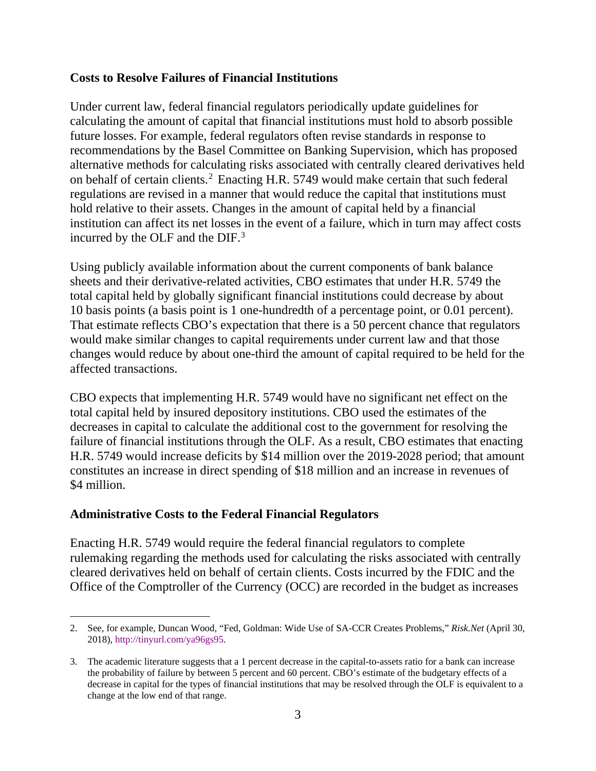#### **Costs to Resolve Failures of Financial Institutions**

Under current law, federal financial regulators periodically update guidelines for calculating the amount of capital that financial institutions must hold to absorb possible future losses. For example, federal regulators often revise standards in response to recommendations by the Basel Committee on Banking Supervision, which has proposed alternative methods for calculating risks associated with centrally cleared derivatives held on behalf of certain clients. [2](#page-2-0) Enacting H.R. 5749 would make certain that such federal regulations are revised in a manner that would reduce the capital that institutions must hold relative to their assets. Changes in the amount of capital held by a financial institution can affect its net losses in the event of a failure, which in turn may affect costs incurred by the OLF and the DIF. [3](#page-2-1)

Using publicly available information about the current components of bank balance sheets and their derivative-related activities, CBO estimates that under H.R. 5749 the total capital held by globally significant financial institutions could decrease by about 10 basis points (a basis point is 1 one-hundredth of a percentage point, or 0.01 percent). That estimate reflects CBO's expectation that there is a 50 percent chance that regulators would make similar changes to capital requirements under current law and that those changes would reduce by about one-third the amount of capital required to be held for the affected transactions.

CBO expects that implementing H.R. 5749 would have no significant net effect on the total capital held by insured depository institutions. CBO used the estimates of the decreases in capital to calculate the additional cost to the government for resolving the failure of financial institutions through the OLF. As a result, CBO estimates that enacting H.R. 5749 would increase deficits by \$14 million over the 2019-2028 period; that amount constitutes an increase in direct spending of \$18 million and an increase in revenues of \$4 million.

#### **Administrative Costs to the Federal Financial Regulators**

Enacting H.R. 5749 would require the federal financial regulators to complete rulemaking regarding the methods used for calculating the risks associated with centrally cleared derivatives held on behalf of certain clients. Costs incurred by the FDIC and the Office of the Comptroller of the Currency (OCC) are recorded in the budget as increases

<span id="page-2-0"></span> <sup>2.</sup> See, for example, Duncan Wood, "Fed, Goldman: Wide Use of SA-CCR Creates Problems," *Risk.Net* (April 30, 2018), [http://tinyurl.com/ya96gs95.](http://tinyurl.com/ya96gs95)

<span id="page-2-1"></span><sup>3.</sup> The academic literature suggests that a 1 percent decrease in the capital-to-assets ratio for a bank can increase the probability of failure by between 5 percent and 60 percent. CBO's estimate of the budgetary effects of a decrease in capital for the types of financial institutions that may be resolved through the OLF is equivalent to a change at the low end of that range.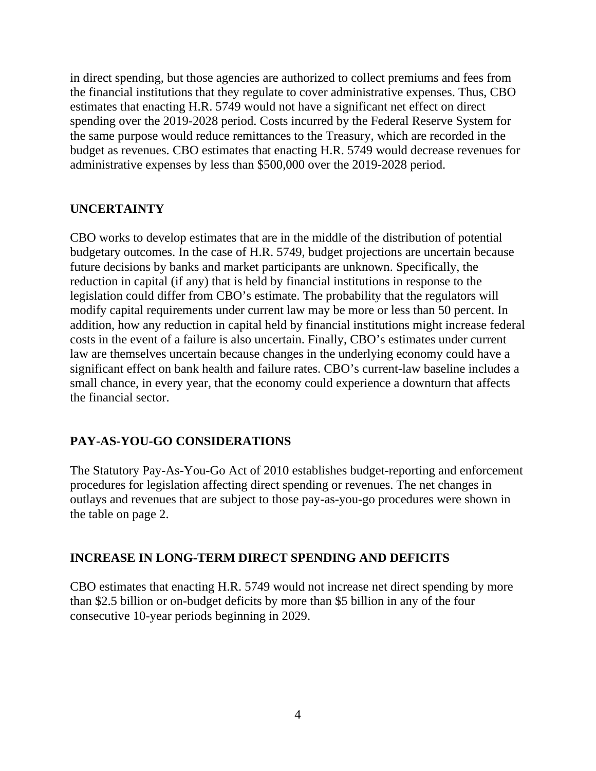in direct spending, but those agencies are authorized to collect premiums and fees from the financial institutions that they regulate to cover administrative expenses. Thus, CBO estimates that enacting H.R. 5749 would not have a significant net effect on direct spending over the 2019-2028 period. Costs incurred by the Federal Reserve System for the same purpose would reduce remittances to the Treasury, which are recorded in the budget as revenues. CBO estimates that enacting H.R. 5749 would decrease revenues for administrative expenses by less than \$500,000 over the 2019-2028 period.

#### **UNCERTAINTY**

CBO works to develop estimates that are in the middle of the distribution of potential budgetary outcomes. In the case of H.R. 5749, budget projections are uncertain because future decisions by banks and market participants are unknown. Specifically, the reduction in capital (if any) that is held by financial institutions in response to the legislation could differ from CBO's estimate. The probability that the regulators will modify capital requirements under current law may be more or less than 50 percent. In addition, how any reduction in capital held by financial institutions might increase federal costs in the event of a failure is also uncertain. Finally, CBO's estimates under current law are themselves uncertain because changes in the underlying economy could have a significant effect on bank health and failure rates. CBO's current-law baseline includes a small chance, in every year, that the economy could experience a downturn that affects the financial sector.

## **PAY-AS-YOU-GO CONSIDERATIONS**

The Statutory Pay-As-You-Go Act of 2010 establishes budget-reporting and enforcement procedures for legislation affecting direct spending or revenues. The net changes in outlays and revenues that are subject to those pay-as-you-go procedures were shown in the table on page 2.

#### **INCREASE IN LONG-TERM DIRECT SPENDING AND DEFICITS**

CBO estimates that enacting H.R. 5749 would not increase net direct spending by more than \$2.5 billion or on-budget deficits by more than \$5 billion in any of the four consecutive 10-year periods beginning in 2029.